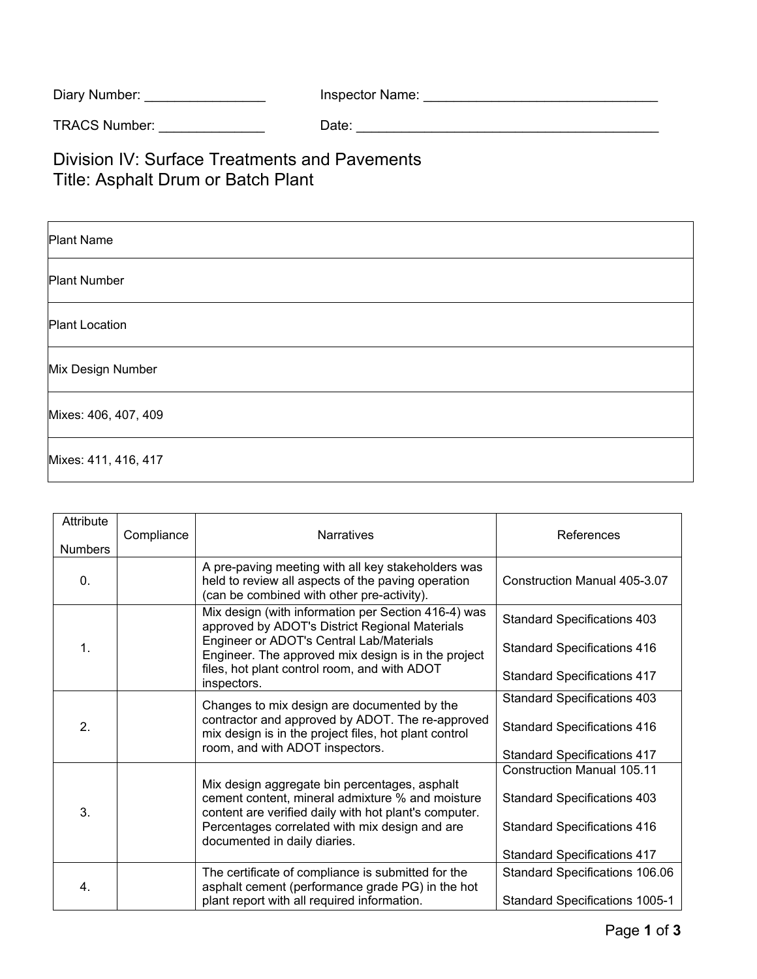| Diary Number: | Inspector Name: |
|---------------|-----------------|
|---------------|-----------------|

TRACS Number: \_\_\_\_\_\_\_\_\_\_\_\_\_\_ Date: \_\_\_\_\_\_\_\_\_\_\_\_\_\_\_\_\_\_\_\_\_\_\_\_\_\_\_\_\_\_\_\_\_\_\_\_\_\_\_\_

Division IV: Surface Treatments and Pavements Title: Asphalt Drum or Batch Plant

| <b>Plant Name</b>     |  |
|-----------------------|--|
| <b>Plant Number</b>   |  |
| <b>Plant Location</b> |  |
| Mix Design Number     |  |
| Mixes: 406, 407, 409  |  |
| Mixes: 411, 416, 417  |  |

| Attribute<br><b>Numbers</b> | Compliance                                                                                                                                                                                                                                   | <b>Narratives</b>                                                                                                                                                                                                                                                       | References                         |
|-----------------------------|----------------------------------------------------------------------------------------------------------------------------------------------------------------------------------------------------------------------------------------------|-------------------------------------------------------------------------------------------------------------------------------------------------------------------------------------------------------------------------------------------------------------------------|------------------------------------|
| $\Omega$ .                  |                                                                                                                                                                                                                                              | A pre-paving meeting with all key stakeholders was<br>held to review all aspects of the paving operation<br>(can be combined with other pre-activity).                                                                                                                  | Construction Manual 405-3.07       |
| 1.                          |                                                                                                                                                                                                                                              | Mix design (with information per Section 416-4) was<br>approved by ADOT's District Regional Materials<br>Engineer or ADOT's Central Lab/Materials<br>Engineer. The approved mix design is in the project<br>files, hot plant control room, and with ADOT<br>inspectors. | <b>Standard Specifications 403</b> |
|                             |                                                                                                                                                                                                                                              |                                                                                                                                                                                                                                                                         | <b>Standard Specifications 416</b> |
|                             |                                                                                                                                                                                                                                              |                                                                                                                                                                                                                                                                         | <b>Standard Specifications 417</b> |
| 2.                          |                                                                                                                                                                                                                                              | Changes to mix design are documented by the<br>contractor and approved by ADOT. The re-approved<br>mix design is in the project files, hot plant control<br>room, and with ADOT inspectors.                                                                             | <b>Standard Specifications 403</b> |
|                             |                                                                                                                                                                                                                                              |                                                                                                                                                                                                                                                                         | <b>Standard Specifications 416</b> |
|                             |                                                                                                                                                                                                                                              |                                                                                                                                                                                                                                                                         | <b>Standard Specifications 417</b> |
| 3.                          |                                                                                                                                                                                                                                              |                                                                                                                                                                                                                                                                         | <b>Construction Manual 105.11</b>  |
|                             | Mix design aggregate bin percentages, asphalt<br>cement content, mineral admixture % and moisture<br>content are verified daily with hot plant's computer.<br>Percentages correlated with mix design and are<br>documented in daily diaries. |                                                                                                                                                                                                                                                                         | <b>Standard Specifications 403</b> |
|                             |                                                                                                                                                                                                                                              | <b>Standard Specifications 416</b>                                                                                                                                                                                                                                      |                                    |
|                             |                                                                                                                                                                                                                                              | <b>Standard Specifications 417</b>                                                                                                                                                                                                                                      |                                    |
| 4.                          |                                                                                                                                                                                                                                              | The certificate of compliance is submitted for the                                                                                                                                                                                                                      | Standard Specifications 106.06     |
|                             |                                                                                                                                                                                                                                              | asphalt cement (performance grade PG) in the hot<br>plant report with all required information.                                                                                                                                                                         | Standard Specifications 1005-1     |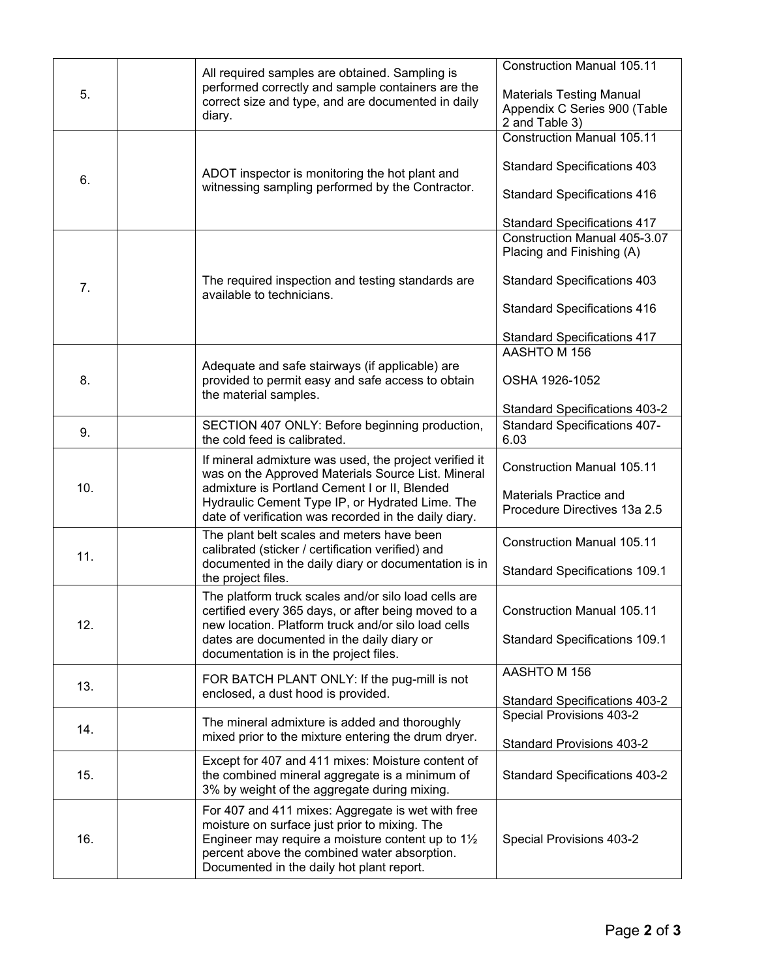| 5.  | All required samples are obtained. Sampling is<br>performed correctly and sample containers are the<br>correct size and type, and are documented in daily<br>diary.                                                                                                       | <b>Construction Manual 105.11</b><br><b>Materials Testing Manual</b><br>Appendix C Series 900 (Table<br>2 and Table 3)                                                             |
|-----|---------------------------------------------------------------------------------------------------------------------------------------------------------------------------------------------------------------------------------------------------------------------------|------------------------------------------------------------------------------------------------------------------------------------------------------------------------------------|
| 6.  | ADOT inspector is monitoring the hot plant and<br>witnessing sampling performed by the Contractor.                                                                                                                                                                        | <b>Construction Manual 105.11</b><br><b>Standard Specifications 403</b><br><b>Standard Specifications 416</b><br><b>Standard Specifications 417</b>                                |
| 7.  | The required inspection and testing standards are<br>available to technicians.                                                                                                                                                                                            | <b>Construction Manual 405-3.07</b><br>Placing and Finishing (A)<br><b>Standard Specifications 403</b><br><b>Standard Specifications 416</b><br><b>Standard Specifications 417</b> |
| 8.  | Adequate and safe stairways (if applicable) are<br>provided to permit easy and safe access to obtain<br>the material samples.                                                                                                                                             | AASHTO M 156<br>OSHA 1926-1052<br><b>Standard Specifications 403-2</b>                                                                                                             |
| 9.  | SECTION 407 ONLY: Before beginning production,<br>the cold feed is calibrated.                                                                                                                                                                                            | <b>Standard Specifications 407-</b><br>6.03                                                                                                                                        |
| 10. | If mineral admixture was used, the project verified it<br>was on the Approved Materials Source List. Mineral<br>admixture is Portland Cement I or II, Blended<br>Hydraulic Cement Type IP, or Hydrated Lime. The<br>date of verification was recorded in the daily diary. | <b>Construction Manual 105.11</b><br>Materials Practice and<br>Procedure Directives 13a 2.5                                                                                        |
| 11. | The plant belt scales and meters have been<br>calibrated (sticker / certification verified) and<br>documented in the daily diary or documentation is in<br>the project files.                                                                                             | <b>Construction Manual 105.11</b><br><b>Standard Specifications 109.1</b>                                                                                                          |
| 12. | The platform truck scales and/or silo load cells are<br>certified every 365 days, or after being moved to a<br>new location. Platform truck and/or silo load cells<br>dates are documented in the daily diary or<br>documentation is in the project files.                | <b>Construction Manual 105.11</b><br><b>Standard Specifications 109.1</b>                                                                                                          |
| 13. | FOR BATCH PLANT ONLY: If the pug-mill is not<br>enclosed, a dust hood is provided.                                                                                                                                                                                        | AASHTO M 156<br><b>Standard Specifications 403-2</b>                                                                                                                               |
| 14. | The mineral admixture is added and thoroughly<br>mixed prior to the mixture entering the drum dryer.                                                                                                                                                                      | Special Provisions 403-2<br><b>Standard Provisions 403-2</b>                                                                                                                       |
| 15. | Except for 407 and 411 mixes: Moisture content of<br>the combined mineral aggregate is a minimum of<br>3% by weight of the aggregate during mixing.                                                                                                                       | <b>Standard Specifications 403-2</b>                                                                                                                                               |
| 16. | For 407 and 411 mixes: Aggregate is wet with free<br>moisture on surface just prior to mixing. The<br>Engineer may require a moisture content up to 11/2<br>percent above the combined water absorption.<br>Documented in the daily hot plant report.                     | Special Provisions 403-2                                                                                                                                                           |